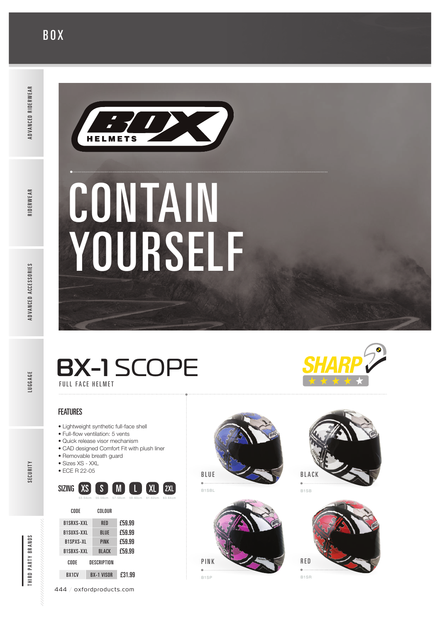## **BOX**



# CONTAIN YOURSELF

## BX-1 SCOPE FULL FACE HELMET

**FEATURES** 

- Lightweight synthetic full-face shell
- Full-fow ventilation: 5 vents
- Quick release visor mechanism
- CAD designed Comfort Fit with plush liner • Removable breath guard
- Sizes XS XXL
- ECE R 22-05



| B1SRXS-XXL         |  | <b>RFD</b>        | F59.99 |
|--------------------|--|-------------------|--------|
| B1SUXS-XXL         |  | <b>BLUE</b>       | F59.99 |
| <b>R1SPXS-XL</b>   |  | <b>PINK</b>       | F59.99 |
| R1SRXS-XXI         |  | <b>BLACK</b>      | F59.99 |
| CODE               |  | DESCRIPTION       |        |
| BX <sub>1</sub> CV |  | <b>RX-1 VISOR</b> | £31.99 |
|                    |  |                   |        |

444 / oxfordproducts.com





B1SP

![](_page_0_Picture_22.jpeg)

![](_page_0_Picture_23.jpeg)

![](_page_0_Picture_25.jpeg)

B1SR

SECURITY